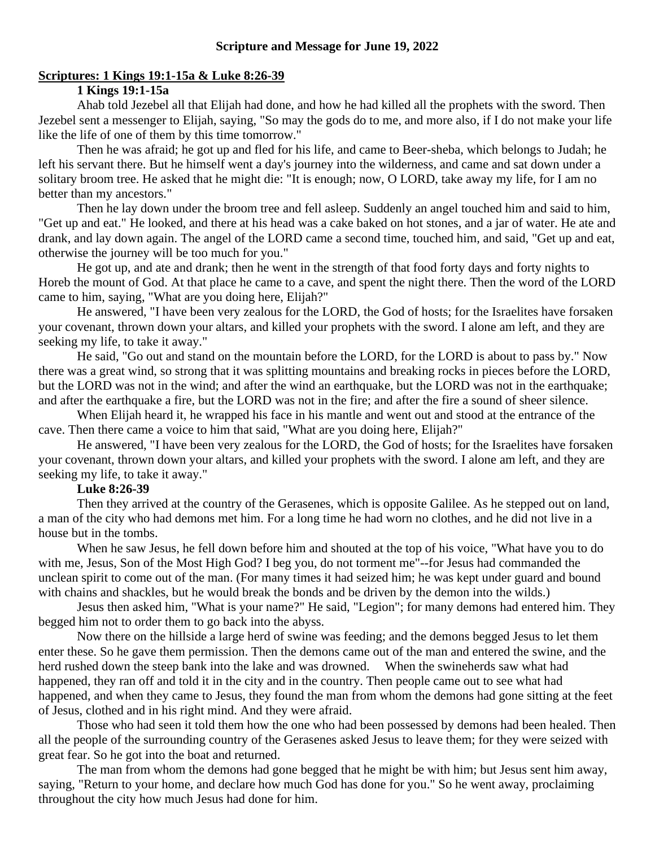## **Scripture and Message for June 19, 2022**

## **Scriptures: 1 Kings 19:1-15a & Luke 8:26-39**

# **1 Kings 19:1-15a**

Ahab told Jezebel all that Elijah had done, and how he had killed all the prophets with the sword. Then Jezebel sent a messenger to Elijah, saying, "So may the gods do to me, and more also, if I do not make your life like the life of one of them by this time tomorrow."

Then he was afraid; he got up and fled for his life, and came to Beer-sheba, which belongs to Judah; he left his servant there. But he himself went a day's journey into the wilderness, and came and sat down under a solitary broom tree. He asked that he might die: "It is enough; now, O LORD, take away my life, for I am no better than my ancestors."

Then he lay down under the broom tree and fell asleep. Suddenly an angel touched him and said to him, "Get up and eat." He looked, and there at his head was a cake baked on hot stones, and a jar of water. He ate and drank, and lay down again. The angel of the LORD came a second time, touched him, and said, "Get up and eat, otherwise the journey will be too much for you."

He got up, and ate and drank; then he went in the strength of that food forty days and forty nights to Horeb the mount of God. At that place he came to a cave, and spent the night there. Then the word of the LORD came to him, saying, "What are you doing here, Elijah?"

He answered, "I have been very zealous for the LORD, the God of hosts; for the Israelites have forsaken your covenant, thrown down your altars, and killed your prophets with the sword. I alone am left, and they are seeking my life, to take it away."

He said, "Go out and stand on the mountain before the LORD, for the LORD is about to pass by." Now there was a great wind, so strong that it was splitting mountains and breaking rocks in pieces before the LORD, but the LORD was not in the wind; and after the wind an earthquake, but the LORD was not in the earthquake; and after the earthquake a fire, but the LORD was not in the fire; and after the fire a sound of sheer silence.

When Elijah heard it, he wrapped his face in his mantle and went out and stood at the entrance of the cave. Then there came a voice to him that said, "What are you doing here, Elijah?"

He answered, "I have been very zealous for the LORD, the God of hosts; for the Israelites have forsaken your covenant, thrown down your altars, and killed your prophets with the sword. I alone am left, and they are seeking my life, to take it away."

#### **Luke 8:26-39**

Then they arrived at the country of the Gerasenes, which is opposite Galilee. As he stepped out on land, a man of the city who had demons met him. For a long time he had worn no clothes, and he did not live in a house but in the tombs.

When he saw Jesus, he fell down before him and shouted at the top of his voice, "What have you to do with me, Jesus, Son of the Most High God? I beg you, do not torment me"--for Jesus had commanded the unclean spirit to come out of the man. (For many times it had seized him; he was kept under guard and bound with chains and shackles, but he would break the bonds and be driven by the demon into the wilds.)

Jesus then asked him, "What is your name?" He said, "Legion"; for many demons had entered him. They begged him not to order them to go back into the abyss.

Now there on the hillside a large herd of swine was feeding; and the demons begged Jesus to let them enter these. So he gave them permission. Then the demons came out of the man and entered the swine, and the herd rushed down the steep bank into the lake and was drowned. When the swineherds saw what had happened, they ran off and told it in the city and in the country. Then people came out to see what had happened, and when they came to Jesus, they found the man from whom the demons had gone sitting at the feet of Jesus, clothed and in his right mind. And they were afraid.

Those who had seen it told them how the one who had been possessed by demons had been healed. Then all the people of the surrounding country of the Gerasenes asked Jesus to leave them; for they were seized with great fear. So he got into the boat and returned.

The man from whom the demons had gone begged that he might be with him; but Jesus sent him away, saying, "Return to your home, and declare how much God has done for you." So he went away, proclaiming throughout the city how much Jesus had done for him.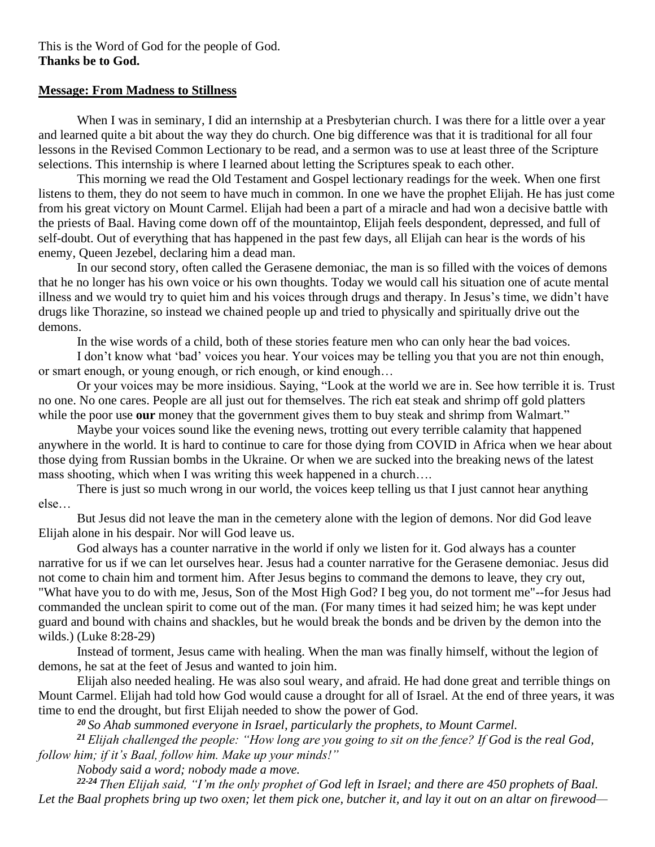## **Message: From Madness to Stillness**

When I was in seminary, I did an internship at a Presbyterian church. I was there for a little over a year and learned quite a bit about the way they do church. One big difference was that it is traditional for all four lessons in the Revised Common Lectionary to be read, and a sermon was to use at least three of the Scripture selections. This internship is where I learned about letting the Scriptures speak to each other.

This morning we read the Old Testament and Gospel lectionary readings for the week. When one first listens to them, they do not seem to have much in common. In one we have the prophet Elijah. He has just come from his great victory on Mount Carmel. Elijah had been a part of a miracle and had won a decisive battle with the priests of Baal. Having come down off of the mountaintop, Elijah feels despondent, depressed, and full of self-doubt. Out of everything that has happened in the past few days, all Elijah can hear is the words of his enemy, Queen Jezebel, declaring him a dead man.

In our second story, often called the Gerasene demoniac, the man is so filled with the voices of demons that he no longer has his own voice or his own thoughts. Today we would call his situation one of acute mental illness and we would try to quiet him and his voices through drugs and therapy. In Jesus's time, we didn't have drugs like Thorazine, so instead we chained people up and tried to physically and spiritually drive out the demons.

In the wise words of a child, both of these stories feature men who can only hear the bad voices.

I don't know what 'bad' voices you hear. Your voices may be telling you that you are not thin enough, or smart enough, or young enough, or rich enough, or kind enough…

Or your voices may be more insidious. Saying, "Look at the world we are in. See how terrible it is. Trust no one. No one cares. People are all just out for themselves. The rich eat steak and shrimp off gold platters while the poor use **our** money that the government gives them to buy steak and shrimp from Walmart."

Maybe your voices sound like the evening news, trotting out every terrible calamity that happened anywhere in the world. It is hard to continue to care for those dying from COVID in Africa when we hear about those dying from Russian bombs in the Ukraine. Or when we are sucked into the breaking news of the latest mass shooting, which when I was writing this week happened in a church….

There is just so much wrong in our world, the voices keep telling us that I just cannot hear anything else…

But Jesus did not leave the man in the cemetery alone with the legion of demons. Nor did God leave Elijah alone in his despair. Nor will God leave us.

God always has a counter narrative in the world if only we listen for it. God always has a counter narrative for us if we can let ourselves hear. Jesus had a counter narrative for the Gerasene demoniac. Jesus did not come to chain him and torment him. After Jesus begins to command the demons to leave, they cry out, "What have you to do with me, Jesus, Son of the Most High God? I beg you, do not torment me"--for Jesus had commanded the unclean spirit to come out of the man. (For many times it had seized him; he was kept under guard and bound with chains and shackles, but he would break the bonds and be driven by the demon into the wilds.) (Luke 8:28-29)

Instead of torment, Jesus came with healing. When the man was finally himself, without the legion of demons, he sat at the feet of Jesus and wanted to join him.

Elijah also needed healing. He was also soul weary, and afraid. He had done great and terrible things on Mount Carmel. Elijah had told how God would cause a drought for all of Israel. At the end of three years, it was time to end the drought, but first Elijah needed to show the power of God.

*<sup>20</sup> So Ahab summoned everyone in Israel, particularly the prophets, to Mount Carmel.*

*<sup>21</sup> Elijah challenged the people: "How long are you going to sit on the fence? If God is the real God, follow him; if it's Baal, follow him. Make up your minds!"*

*Nobody said a word; nobody made a move.*

*22-24 Then Elijah said, "I'm the only prophet of God left in Israel; and there are 450 prophets of Baal. Let the Baal prophets bring up two oxen; let them pick one, butcher it, and lay it out on an altar on firewood—*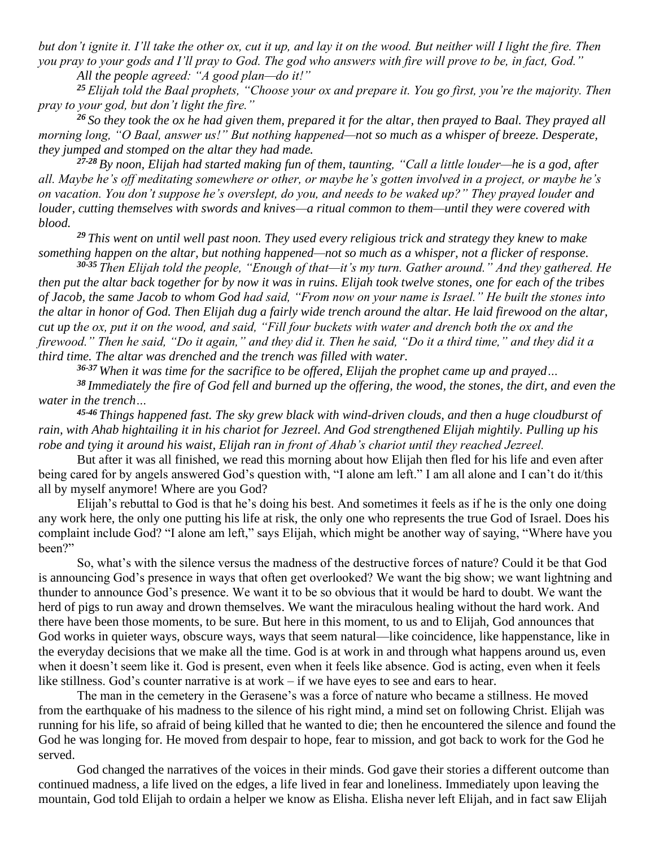*but don't ignite it. I'll take the other ox, cut it up, and lay it on the wood. But neither will I light the fire. Then you pray to your gods and I'll pray to God. The god who answers with fire will prove to be, in fact, God."*

*All the people agreed: "A good plan—do it!"*

*<sup>25</sup> Elijah told the Baal prophets, "Choose your ox and prepare it. You go first, you're the majority. Then pray to your god, but don't light the fire."*

*<sup>26</sup> So they took the ox he had given them, prepared it for the altar, then prayed to Baal. They prayed all morning long, "O Baal, answer us!" But nothing happened—not so much as a whisper of breeze. Desperate, they jumped and stomped on the altar they had made.*

*27-28 By noon, Elijah had started making fun of them, taunting, "Call a little louder—he is a god, after all. Maybe he's off meditating somewhere or other, or maybe he's gotten involved in a project, or maybe he's on vacation. You don't suppose he's overslept, do you, and needs to be waked up?" They prayed louder and louder, cutting themselves with swords and knives—a ritual common to them—until they were covered with blood.*

*<sup>29</sup> This went on until well past noon. They used every religious trick and strategy they knew to make something happen on the altar, but nothing happened—not so much as a whisper, not a flicker of response.*

*30-35 Then Elijah told the people, "Enough of that—it's my turn. Gather around." And they gathered. He then put the altar back together for by now it was in ruins. Elijah took twelve stones, one for each of the tribes of Jacob, the same Jacob to whom God had said, "From now on your name is Israel." He built the stones into the altar in honor of God. Then Elijah dug a fairly wide trench around the altar. He laid firewood on the altar, cut up the ox, put it on the wood, and said, "Fill four buckets with water and drench both the ox and the firewood." Then he said, "Do it again," and they did it. Then he said, "Do it a third time," and they did it a third time. The altar was drenched and the trench was filled with water.*

*36-37 When it was time for the sacrifice to be offered, Elijah the prophet came up and prayed…*

*<sup>38</sup> Immediately the fire of God fell and burned up the offering, the wood, the stones, the dirt, and even the water in the trench…*

*45-46 Things happened fast. The sky grew black with wind-driven clouds, and then a huge cloudburst of rain, with Ahab hightailing it in his chariot for Jezreel. And God strengthened Elijah mightily. Pulling up his robe and tying it around his waist, Elijah ran in front of Ahab's chariot until they reached Jezreel.*

But after it was all finished, we read this morning about how Elijah then fled for his life and even after being cared for by angels answered God's question with, "I alone am left." I am all alone and I can't do it/this all by myself anymore! Where are you God?

Elijah's rebuttal to God is that he's doing his best. And sometimes it feels as if he is the only one doing any work here, the only one putting his life at risk, the only one who represents the true God of Israel. Does his complaint include God? "I alone am left," says Elijah, which might be another way of saying, "Where have you been?"

So, what's with the silence versus the madness of the destructive forces of nature? Could it be that God is announcing God's presence in ways that often get overlooked? We want the big show; we want lightning and thunder to announce God's presence. We want it to be so obvious that it would be hard to doubt. We want the herd of pigs to run away and drown themselves. We want the miraculous healing without the hard work. And there have been those moments, to be sure. But here in this moment, to us and to Elijah, God announces that God works in quieter ways, obscure ways, ways that seem natural—like coincidence, like happenstance, like in the everyday decisions that we make all the time. God is at work in and through what happens around us, even when it doesn't seem like it. God is present, even when it feels like absence. God is acting, even when it feels like stillness. God's counter narrative is at work – if we have eyes to see and ears to hear.

The man in the cemetery in the Gerasene's was a force of nature who became a stillness. He moved from the earthquake of his madness to the silence of his right mind, a mind set on following Christ. Elijah was running for his life, so afraid of being killed that he wanted to die; then he encountered the silence and found the God he was longing for. He moved from despair to hope, fear to mission, and got back to work for the God he served.

God changed the narratives of the voices in their minds. God gave their stories a different outcome than continued madness, a life lived on the edges, a life lived in fear and loneliness. Immediately upon leaving the mountain, God told Elijah to ordain a helper we know as Elisha. Elisha never left Elijah, and in fact saw Elijah